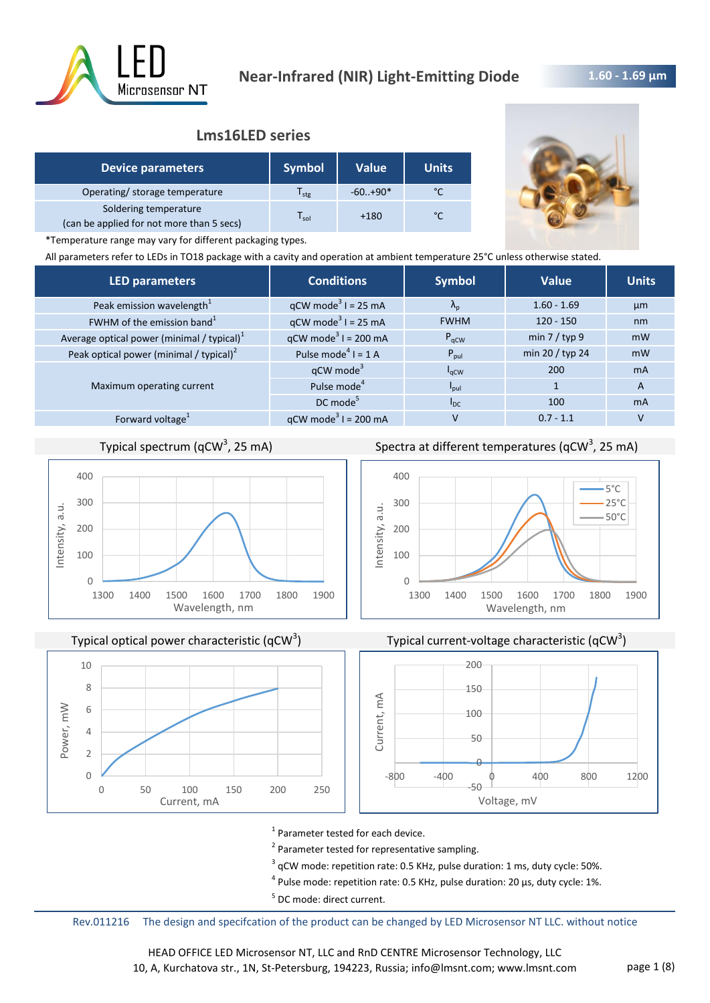

## **1.60 - 1.69 μm**

## **Lms16LED series**

| <b>Device parameters</b>                                           | <b>Symbol</b>    | <b>Value</b> | <b>Units</b> |
|--------------------------------------------------------------------|------------------|--------------|--------------|
| Operating/ storage temperature                                     | l <sub>stg</sub> | $-60.+90*$   |              |
| Soldering temperature<br>(can be applied for not more than 5 secs) | l sol            | $+180$       | °۴           |



\*Temperature range may vary for different packaging types.

All parameters refer to LEDs in TO18 package with a cavity and operation at ambient temperature 25°C unless otherwise stated.

| <b>LED parameters</b>                         | <b>Conditions</b>                 | <b>Symbol</b>     | Value           | <b>Units</b> |
|-----------------------------------------------|-----------------------------------|-------------------|-----------------|--------------|
| Peak emission wavelength <sup>1</sup>         | $qCW \text{ mode}^3$ I = 25 mA    | $\Lambda_{\rm n}$ | $1.60 - 1.69$   | µm           |
| FWHM of the emission band <sup>1</sup>        | $qCW \text{ mode}^3$ I = 25 mA    | <b>FWHM</b>       | $120 - 150$     | nm           |
| Average optical power (minimal / typical) $1$ | $qCW \text{ mode}^3$ I = 200 mA   | $P_{qCW}$         | min $7 /$ typ 9 | mW           |
| Peak optical power (minimal / typical) $2$    | Pulse mode <sup>4</sup> $I = 1$ A | $P_{\text{pul}}$  | min 20 / typ 24 | mW           |
|                                               | qCW mode <sup>3</sup>             | $I_{\rm qCW}$     | 200             | <b>mA</b>    |
| Maximum operating current                     | Pulse mode <sup>4</sup>           | $I_{\text{pul}}$  |                 | A            |
|                                               | $DC$ mode <sup>5</sup>            | $I_{DC}$          | 100             | <b>mA</b>    |
| Forward voltage <sup>1</sup>                  | $qCW \text{ mode}^3$ I = 200 mA   | v                 | $0.7 - 1.1$     |              |
|                                               |                                   |                   |                 |              |

# Typical spectrum (qCW<sup>3</sup>, 25 mA)



Typical optical power characteristic (qCW<sup>3</sup>)



Spectra at different temperatures (qCW<sup>3</sup>, 25 mA)







<sup>1</sup> Parameter tested for each device.

<sup>2</sup> Parameter tested for representative sampling.

 $3$  qCW mode: repetition rate: 0.5 KHz, pulse duration: 1 ms, duty cycle: 50%.

 $^4$  Pulse mode: repetition rate: 0.5 KHz, pulse duration: 20 µs, duty cycle: 1%.

<sup>5</sup> DC mode: direct current.

Rev.011216 The design and specifcation of the product can be changed by LED Microsensor NT LLC. without notice

HEAD OFFICE LED Microsensor NT, LLC and RnD CENTRE Microsensor Technology, LLC 10, A, Kurchatova str., 1N, St-Petersburg, 194223, Russia; info@lmsnt.com; www.lmsnt.com page 1 (8)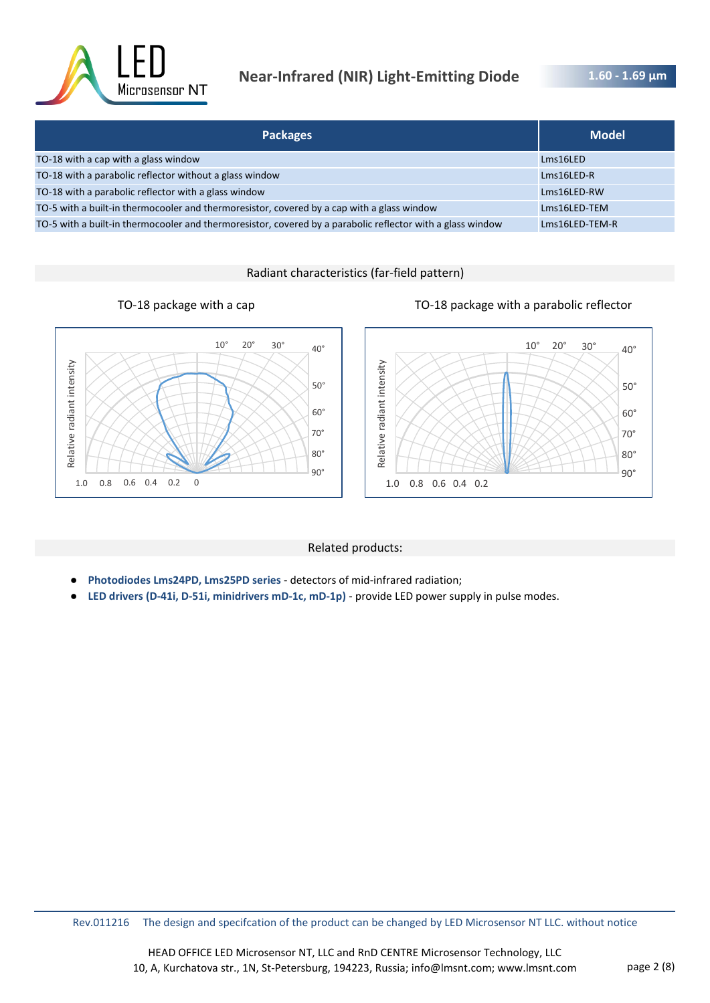![](_page_1_Picture_0.jpeg)

# **Near-Infrared (NIR) Light-Emitting Diode**

**1.60 - 1.69 μm** 

| <b>Packages</b>                                                                                            | <b>Model</b>   |
|------------------------------------------------------------------------------------------------------------|----------------|
| TO-18 with a cap with a glass window                                                                       | Lms16LED       |
| TO-18 with a parabolic reflector without a glass window                                                    | $Lms16LED-R$   |
| TO-18 with a parabolic reflector with a glass window                                                       | Lms16LED-RW    |
| TO-5 with a built-in thermocooler and thermoresistor, covered by a cap with a glass window                 | Lms16LED-TEM   |
| TO-5 with a built-in thermocooler and thermoresistor, covered by a parabolic reflector with a glass window | Lms16LED-TEM-R |

Radiant characteristics (far-field pattern)

![](_page_1_Figure_6.jpeg)

![](_page_1_Figure_7.jpeg)

### Related products:

- **Photodiodes Lms24PD, Lms25PD series**  detectors of mid-infrared radiation;
- **LED drivers (D-41i, D-51i, minidrivers mD-1c, mD-1p)**  provide LED power supply in pulse modes.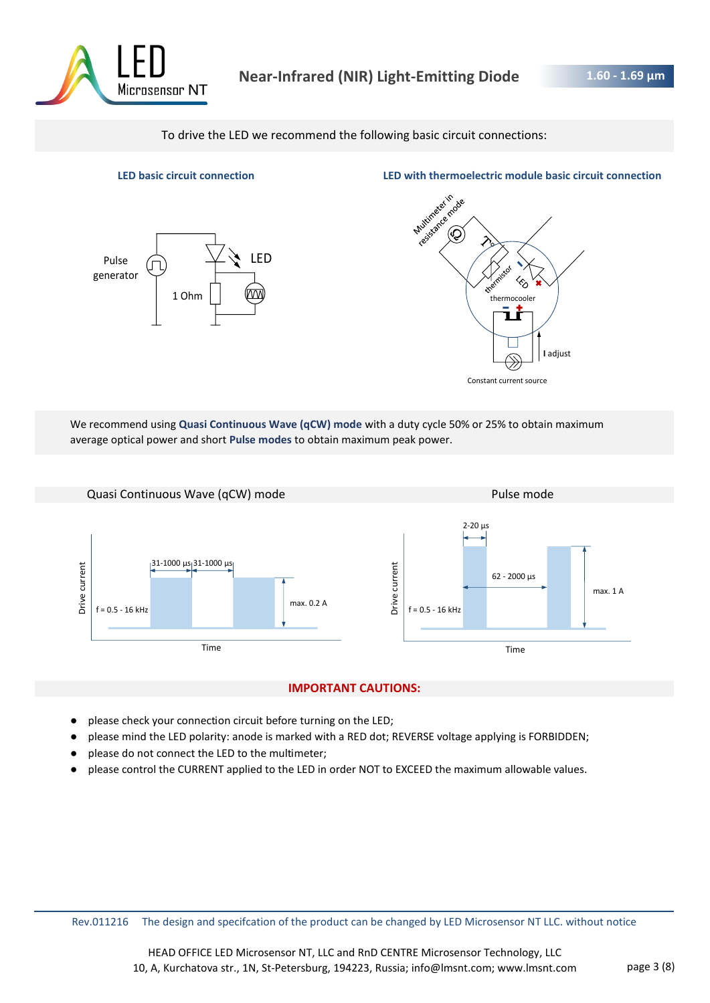![](_page_2_Picture_0.jpeg)

To drive the LED we recommend the following basic circuit connections:

![](_page_2_Figure_4.jpeg)

**LED basic circuit connection LED with thermoelectric module basic circuit connection**

![](_page_2_Figure_6.jpeg)

We recommend using **Quasi Continuous Wave (qCW) mode** with a duty cycle 50% or 25% to obtain maximum average optical power and short **Pulse modes** to obtain maximum peak power.

![](_page_2_Figure_8.jpeg)

### **IMPORTANT CAUTIONS:**

- please check your connection circuit before turning on the LED;
- please mind the LED polarity: anode is marked with a RED dot; REVERSE voltage applying is FORBIDDEN;
- please do not connect the LED to the multimeter;
- please control the CURRENT applied to the LED in order NOT to EXCEED the maximum allowable values.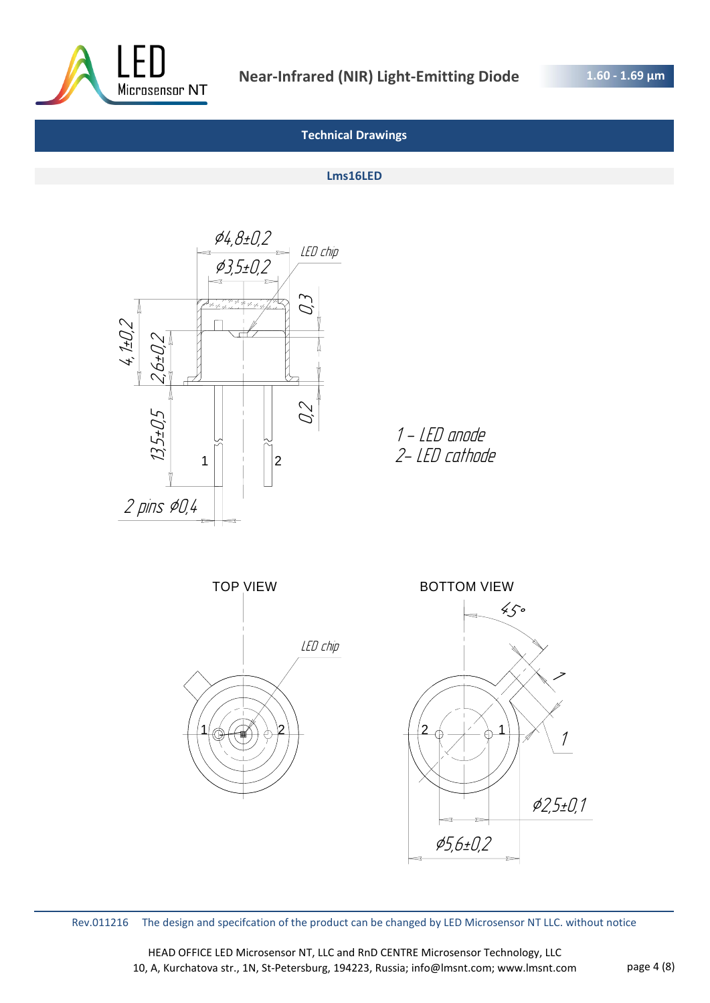![](_page_3_Picture_0.jpeg)

#### **Lms16LED**

![](_page_3_Figure_5.jpeg)

1 - LED anode 2- LED cathode

![](_page_3_Figure_7.jpeg)

Rev.011216 The design and specifcation of the product can be changed by LED Microsensor NT LLC. without notice

HEAD OFFICE LED Microsensor NT, LLC and RnD CENTRE Microsensor Technology, LLC 10, A, Kurchatova str., 1N, St-Petersburg, 194223, Russia; info@lmsnt.com; www.lmsnt.com page 4 (8)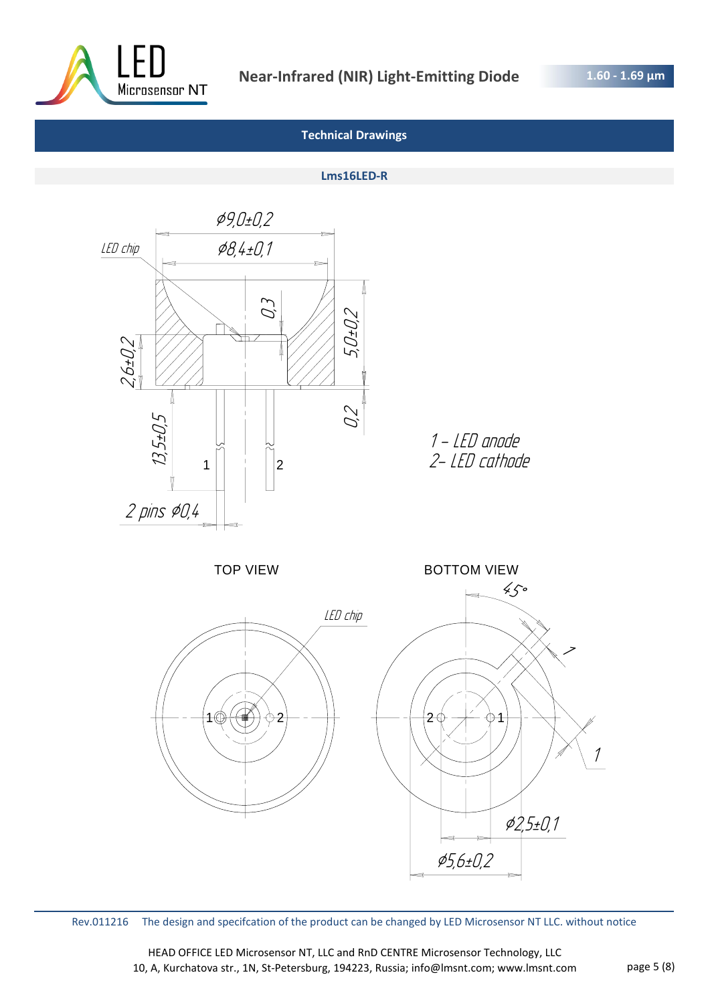![](_page_4_Picture_0.jpeg)

#### **Lms16LED-R**

![](_page_4_Figure_5.jpeg)

Rev.011216 The design and specifcation of the product can be changed by LED Microsensor NT LLC. without notice

HEAD OFFICE LED Microsensor NT, LLC and RnD CENTRE Microsensor Technology, LLC 10, A, Kurchatova str., 1N, St-Petersburg, 194223, Russia; info@lmsnt.com; www.lmsnt.com page 5 (8)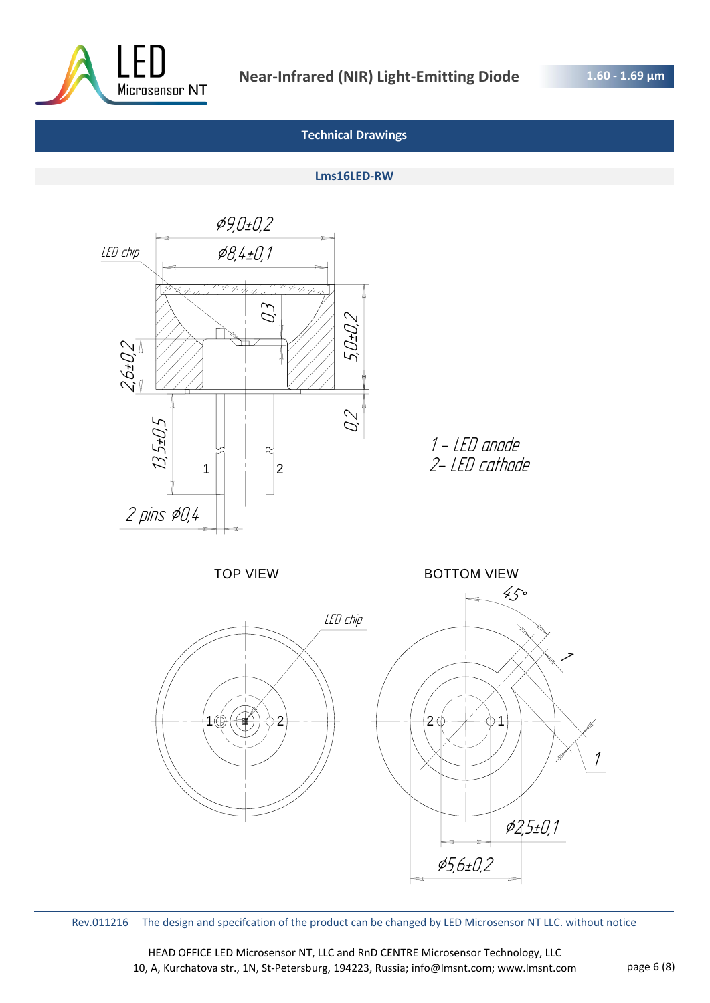![](_page_5_Picture_0.jpeg)

#### **Lms16LED-RW**

![](_page_5_Figure_5.jpeg)

Rev.011216 The design and specifcation of the product can be changed by LED Microsensor NT LLC. without notice

HEAD OFFICE LED Microsensor NT, LLC and RnD CENTRE Microsensor Technology, LLC 10, A, Kurchatova str., 1N, St-Petersburg, 194223, Russia; info@lmsnt.com; www.lmsnt.com page 6 (8)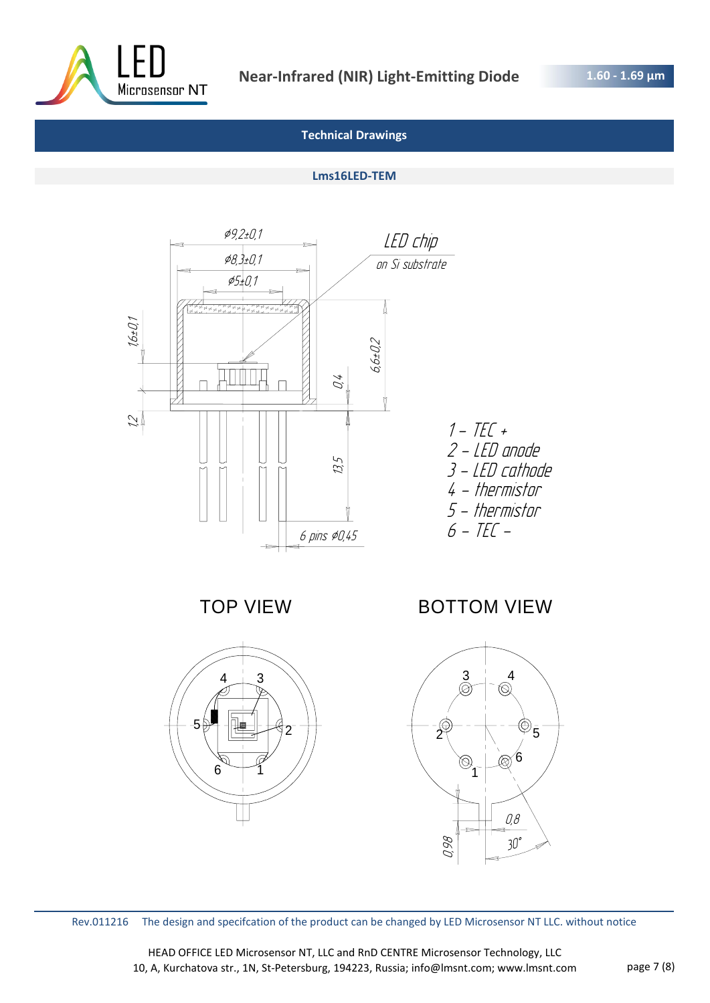![](_page_6_Picture_0.jpeg)

#### **Lms16LED-TEM**

![](_page_6_Figure_5.jpeg)

TOP VIEW

![](_page_6_Figure_7.jpeg)

BOTTOM VIEW

![](_page_6_Figure_9.jpeg)

Rev.011216 The design and specifcation of the product can be changed by LED Microsensor NT LLC. without notice

HEAD OFFICE LED Microsensor NT, LLC and RnD CENTRE Microsensor Technology, LLC 10, A, Kurchatova str., 1N, St-Petersburg, 194223, Russia; info@lmsnt.com; www.lmsnt.com page 7 (8)